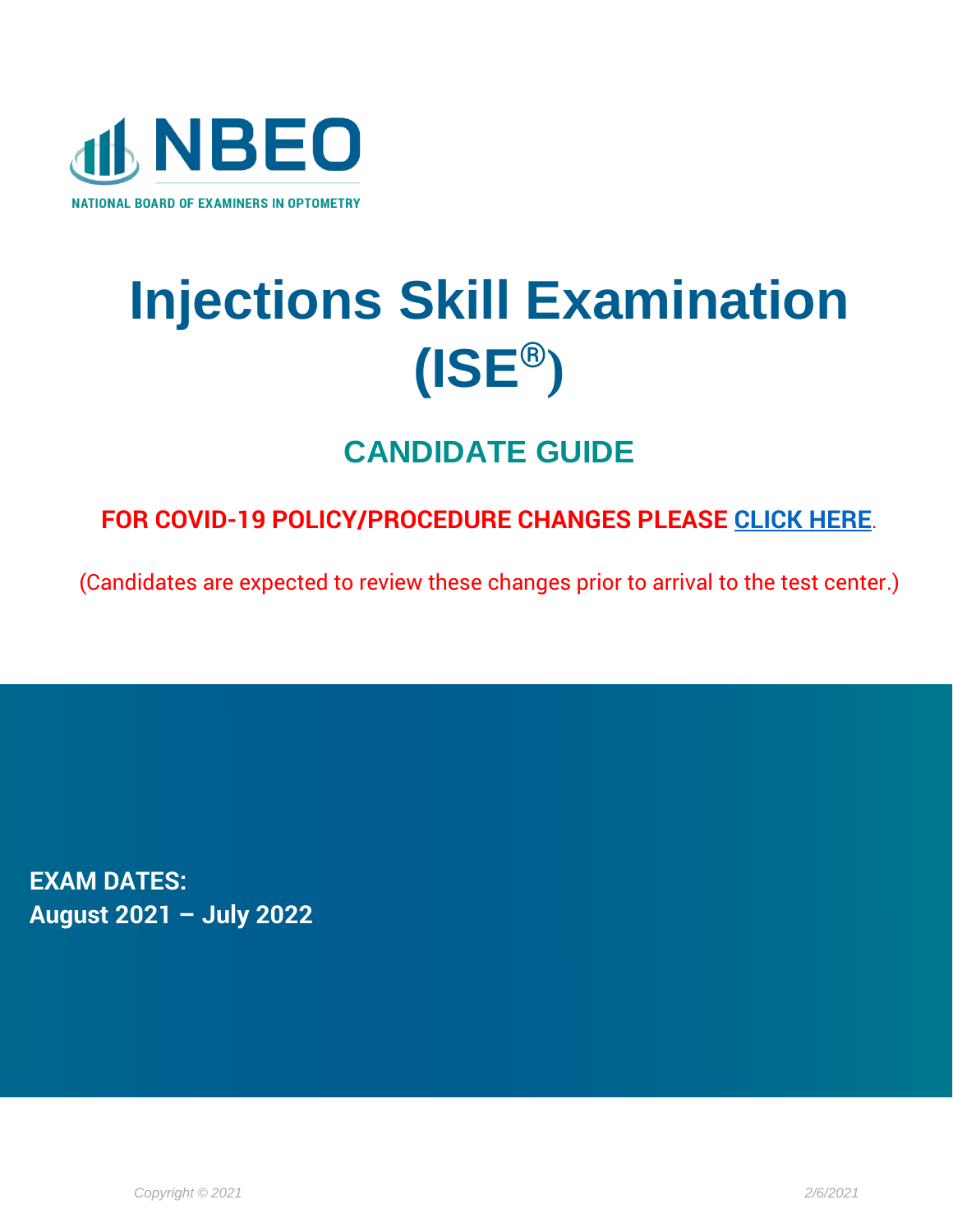

# **Injections Skill Examination (ISE®)**

# **CANDIDATE GUIDE**

# **FOR COVID-19 POLICY/PROCEDURE CHANGES PLEASE [CLICK HERE](https://www.optometry.org/media/documents/news/covid_policy_changes_2.pdf)**.

(Candidates are expected to review these changes prior to arrival to the test center.)

**EXAM DATES: August 2021 – July 2022**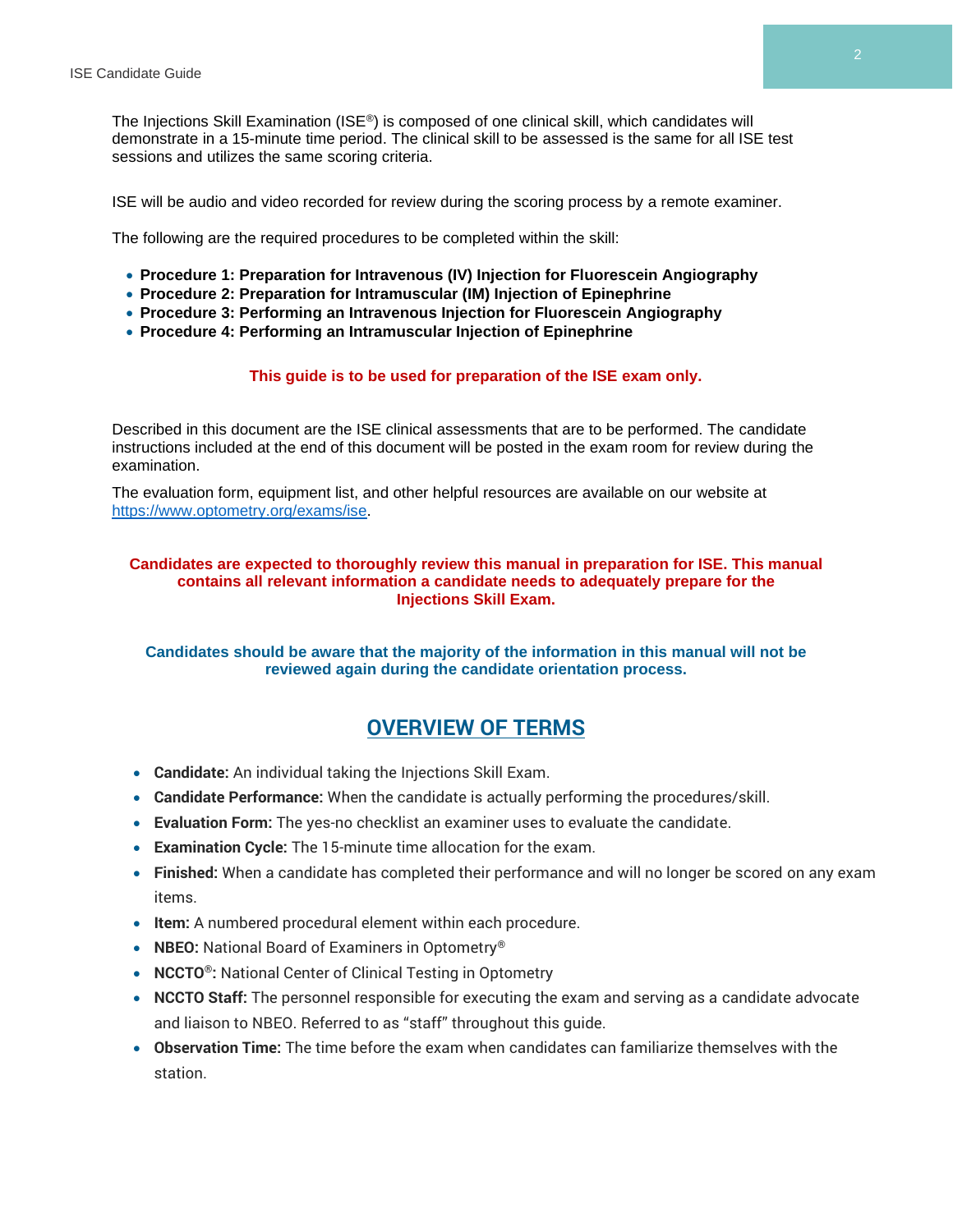The Injections Skill Examination (ISE®) is composed of one clinical skill, which candidates will demonstrate in a 15-minute time period. The clinical skill to be assessed is the same for all ISE test sessions and utilizes the same scoring criteria.

ISE will be audio and video recorded for review during the scoring process by a remote examiner.

The following are the required procedures to be completed within the skill:

- **Procedure 1: Preparation for Intravenous (IV) Injection for Fluorescein Angiography**
- **Procedure 2: Preparation for Intramuscular (IM) Injection of Epinephrine**
- **Procedure 3: Performing an Intravenous Injection for Fluorescein Angiography**
- **Procedure 4: Performing an Intramuscular Injection of Epinephrine**

#### **This guide is to be used for preparation of the ISE exam only.**

Described in this document are the ISE clinical assessments that are to be performed. The candidate instructions included at the end of this document will be posted in the exam room for review during the examination.

The evaluation form, equipment list, and other helpful resources are available on our website at [https://www.optometry.org/exams/ise.](https://www.optometry.org/exams/ise)

#### **Candidates are expected to thoroughly review this manual in preparation for ISE. This manual contains all relevant information a candidate needs to adequately prepare for the Injections Skill Exam.**

#### **Candidates should be aware that the majority of the information in this manual will not be reviewed again during the candidate orientation process.**

# **OVERVIEW OF TERMS**

- **Candidate:** An individual taking the Injections Skill Exam.
- **Candidate Performance:** When the candidate is actually performing the procedures/skill.
- **Evaluation Form:** The yes-no checklist an examiner uses to evaluate the candidate.
- **Examination Cycle:** The 15-minute time allocation for the exam.
- **Finished:** When a candidate has completed their performance and will no longer be scored on any exam items.
- **Item:** A numbered procedural element within each procedure.
- **NBEO:** National Board of Examiners in Optometry®
- **NCCTO®:** National Center of Clinical Testing in Optometry
- **NCCTO Staff:** The personnel responsible for executing the exam and serving as a candidate advocate and liaison to NBEO. Referred to as "staff" throughout this guide.
- **Observation Time:** The time before the exam when candidates can familiarize themselves with the station.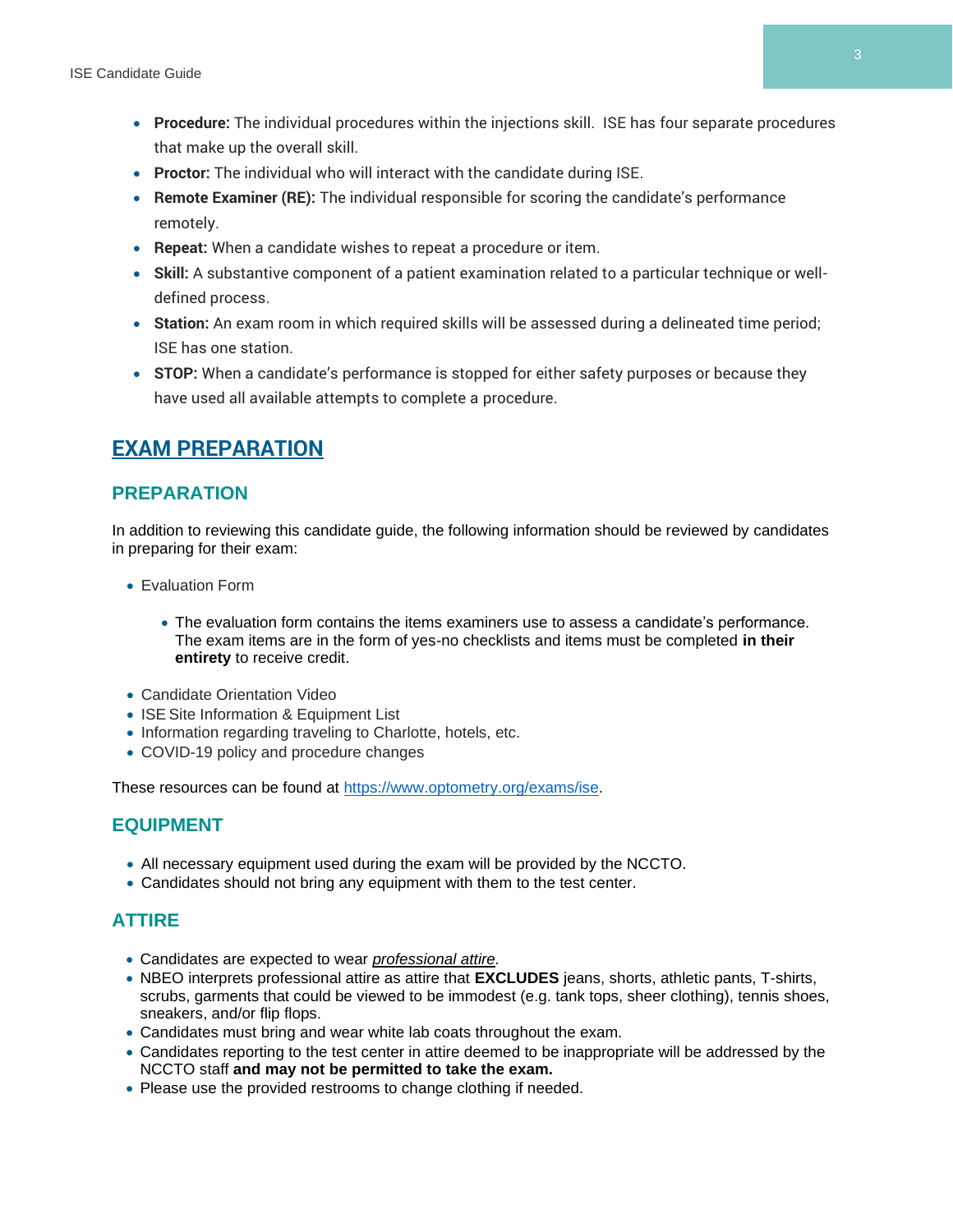- **Procedure:** The individual procedures within the injections skill. ISE has four separate procedures that make up the overall skill.
- **Proctor:** The individual who will interact with the candidate during ISE.
- **Remote Examiner (RE):** The individual responsible for scoring the candidate's performance remotely.
- **Repeat:** When a candidate wishes to repeat a procedure or item.
- **Skill:** A substantive component of a patient examination related to a particular technique or welldefined process.
- **Station:** An exam room in which required skills will be assessed during a delineated time period; ISE has one station.
- **STOP:** When a candidate's performance is stopped for either safety purposes or because they have used all available attempts to complete a procedure.

# **EXAM PREPARATION**

#### **PREPARATION**

In addition to reviewing this candidate guide, the following information should be reviewed by candidates in preparing for their exam:

- Evaluation Form
	- The evaluation form contains the items examiners use to assess a candidate's performance. The exam items are in the form of yes-no checklists and items must be completed **in their entirety** to receive credit.
- Candidate Orientation Video
- ISE Site Information & Equipment List
- Information regarding traveling to Charlotte, hotels, etc.
- COVID-19 policy and procedure changes

These resources can be found at [https://www.optometry.org/exams/ise.](https://www.optometry.org/exams/ise)

#### **EQUIPMENT**

- All necessary equipment used during the exam will be provided by the NCCTO.
- Candidates should not bring any equipment with them to the test center.

#### **ATTIRE**

- Candidates are expected to wear *professional attire.*
- NBEO interprets professional attire as attire that **EXCLUDES** jeans, shorts, athletic pants, T-shirts, scrubs, garments that could be viewed to be immodest (e.g. tank tops, sheer clothing), tennis shoes, sneakers, and/or flip flops.
- Candidates must bring and wear white lab coats throughout the exam.
- Candidates reporting to the test center in attire deemed to be inappropriate will be addressed by the NCCTO staff **and may not be permitted to take the exam.**
- Please use the provided restrooms to change clothing if needed.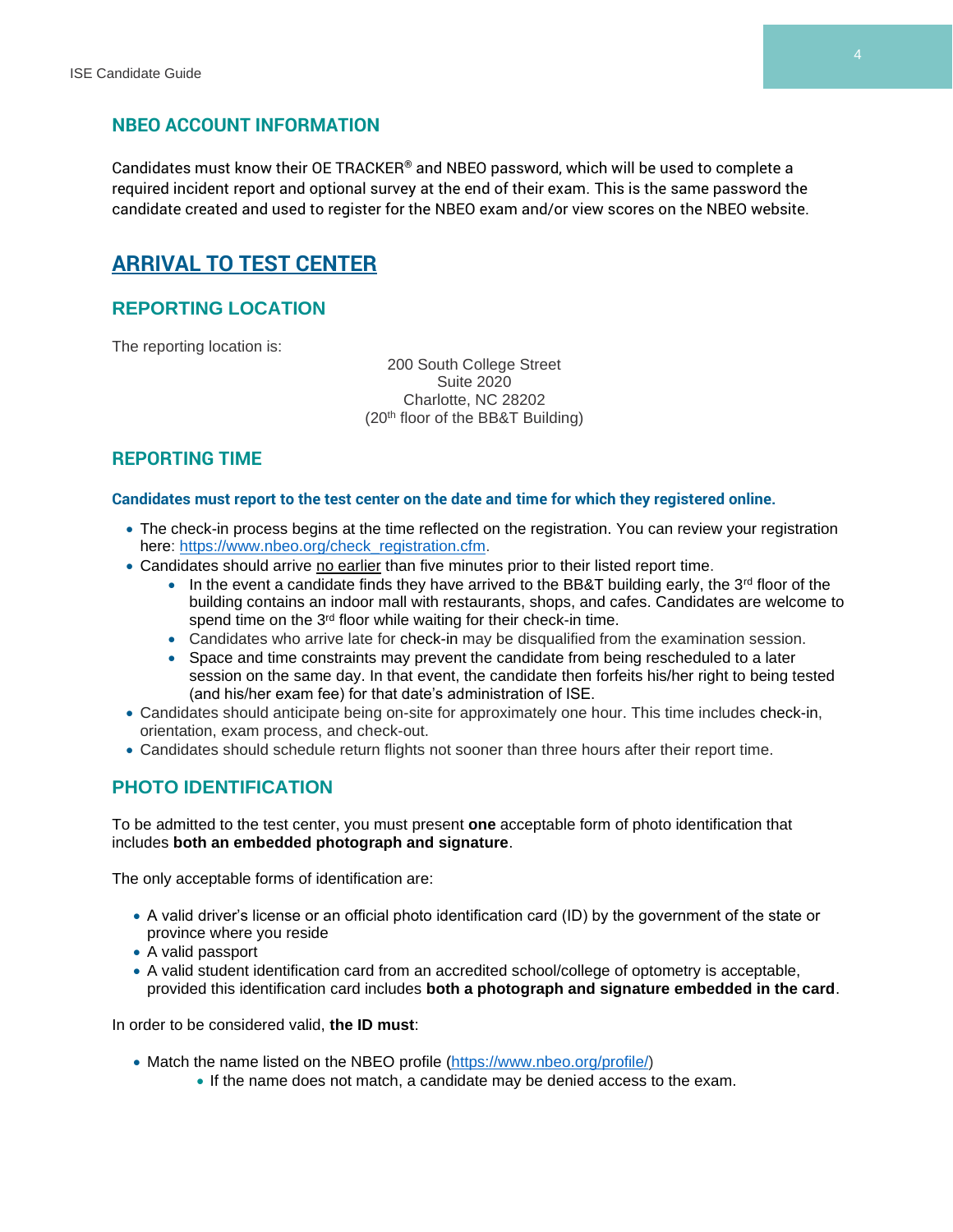#### **NBEO ACCOUNT INFORMATION**

Candidates must know their OE TRACKER® and NBEO password, which will be used to complete a required incident report and optional survey at the end of their exam. This is the same password the candidate created and used to register for the NBEO exam and/or view scores on the NBEO website.

# **ARRIVAL TO TEST CENTER**

#### **REPORTING LOCATION**

The reporting location is:

200 South College Street Suite 2020 Charlotte, NC 28202 (20th floor of the BB&T Building)

#### **REPORTING TIME**

#### **Candidates must report to the test center on the date and time for which they registered online.**

- The check-in process begins at the time reflected on the registration. You can review your registration here: [https://www.nbeo.org/check\\_registration.cfm.](https://www.nbeo.org/check_registration.cfm)
- Candidates should arrive no earlier than five minutes prior to their listed report time.
	- $\bullet$  In the event a candidate finds they have arrived to the BB&T building early, the 3<sup>rd</sup> floor of the building contains an indoor mall with restaurants, shops, and cafes. Candidates are welcome to spend time on the 3<sup>rd</sup> floor while waiting for their check-in time.
	- Candidates who arrive late for check-in may be disqualified from the examination session.
	- Space and time constraints may prevent the candidate from being rescheduled to a later session on the same day. In that event, the candidate then forfeits his/her right to being tested (and his/her exam fee) for that date's administration of ISE.
- Candidates should anticipate being on-site for approximately one hour. This time includes check-in, orientation, exam process, and check-out.
- Candidates should schedule return flights not sooner than three hours after their report time.

#### **PHOTO IDENTIFICATION**

To be admitted to the test center, you must present **one** acceptable form of photo identification that includes **both an embedded photograph and signature**.

The only acceptable forms of identification are:

- A valid driver's license or an official photo identification card (ID) by the government of the state or province where you reside
- A valid passport
- A valid student identification card from an accredited school/college of optometry is acceptable, provided this identification card includes **both a photograph and signature embedded in the card**.

In order to be considered valid, **the ID must**:

- Match the name listed on the NBEO profile [\(https://www.nbeo.org/profile/\)](https://www.nbeo.org/profile/)
	- If the name does not match, a candidate may be denied access to the exam.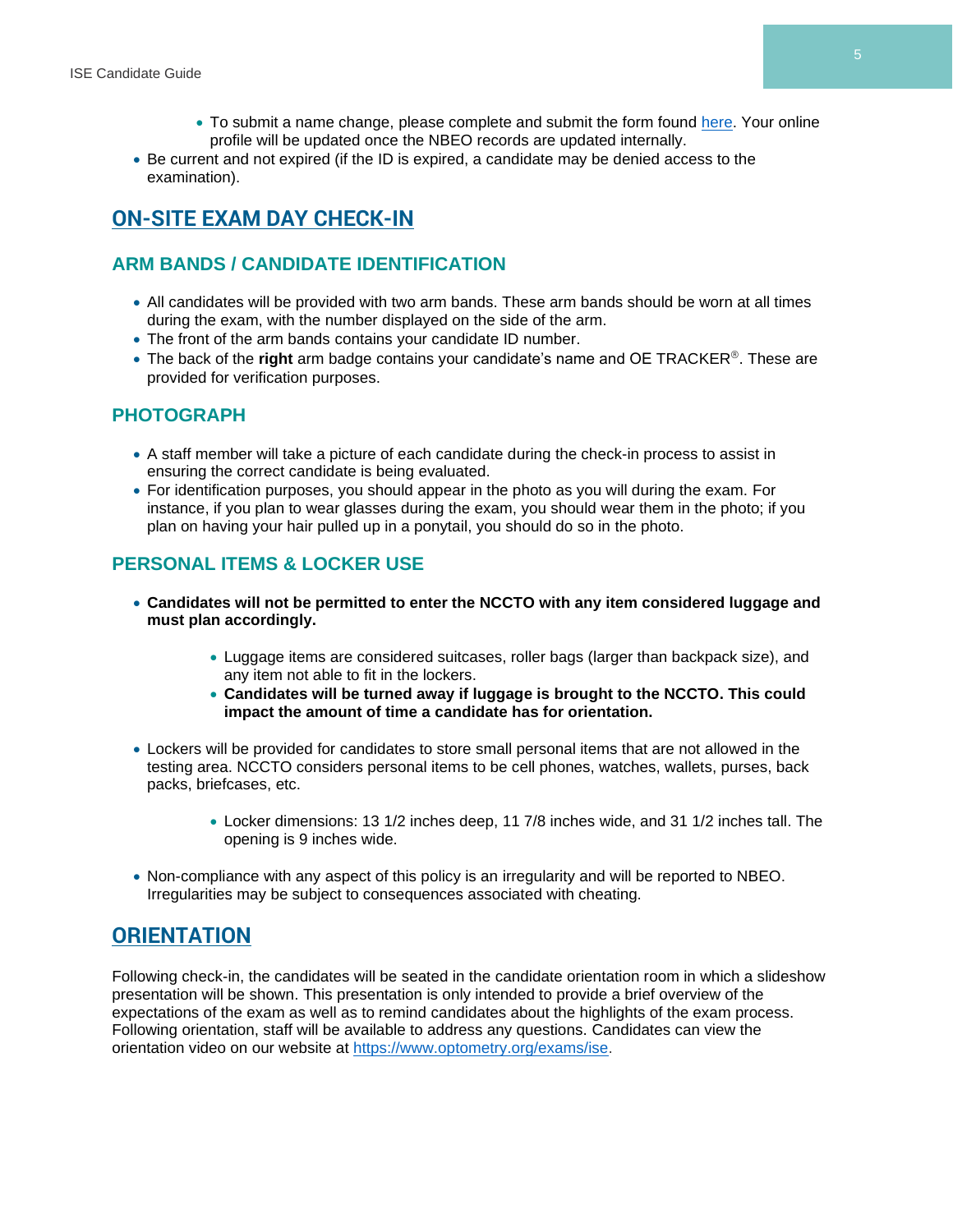- To submit a name change, please complete and submit the form found [here.](https://www.optometry.org/media/documents/registration/name_change_form_2.pdf) Your online profile will be updated once the NBEO records are updated internally.
- Be current and not expired (if the ID is expired, a candidate may be denied access to the examination).

# **ON-SITE EXAM DAY CHECK-IN**

# **ARM BANDS / CANDIDATE IDENTIFICATION**

- All candidates will be provided with two arm bands. These arm bands should be worn at all times during the exam, with the number displayed on the side of the arm.
- The front of the arm bands contains your candidate ID number.
- The back of the **right** arm badge contains your candidate's name and OE TRACKER®. These are provided for verification purposes.

#### **PHOTOGRAPH**

- A staff member will take a picture of each candidate during the check-in process to assist in ensuring the correct candidate is being evaluated.
- For identification purposes, you should appear in the photo as you will during the exam. For instance, if you plan to wear glasses during the exam, you should wear them in the photo; if you plan on having your hair pulled up in a ponytail, you should do so in the photo.

# **PERSONAL ITEMS & LOCKER USE**

- **Candidates will not be permitted to enter the NCCTO with any item considered luggage and must plan accordingly.**
	- Luggage items are considered suitcases, roller bags (larger than backpack size), and any item not able to fit in the lockers.
	- **Candidates will be turned away if luggage is brought to the NCCTO. This could impact the amount of time a candidate has for orientation.**
- Lockers will be provided for candidates to store small personal items that are not allowed in the testing area. NCCTO considers personal items to be cell phones, watches, wallets, purses, back packs, briefcases, etc.
	- Locker dimensions: 13 1/2 inches deep, 11 7/8 inches wide, and 31 1/2 inches tall. The opening is 9 inches wide.
- Non-compliance with any aspect of this policy is an irregularity and will be reported to NBEO. Irregularities may be subject to consequences associated with cheating.

# **ORIENTATION**

Following check-in, the candidates will be seated in the candidate orientation room in which a slideshow presentation will be shown. This presentation is only intended to provide a brief overview of the expectations of the exam as well as to remind candidates about the highlights of the exam process. Following orientation, staff will be available to address any questions. Candidates can view the orientation video on our website at [https://www.optometry.org/exams/ise.](https://www.optometry.org/exams/ise)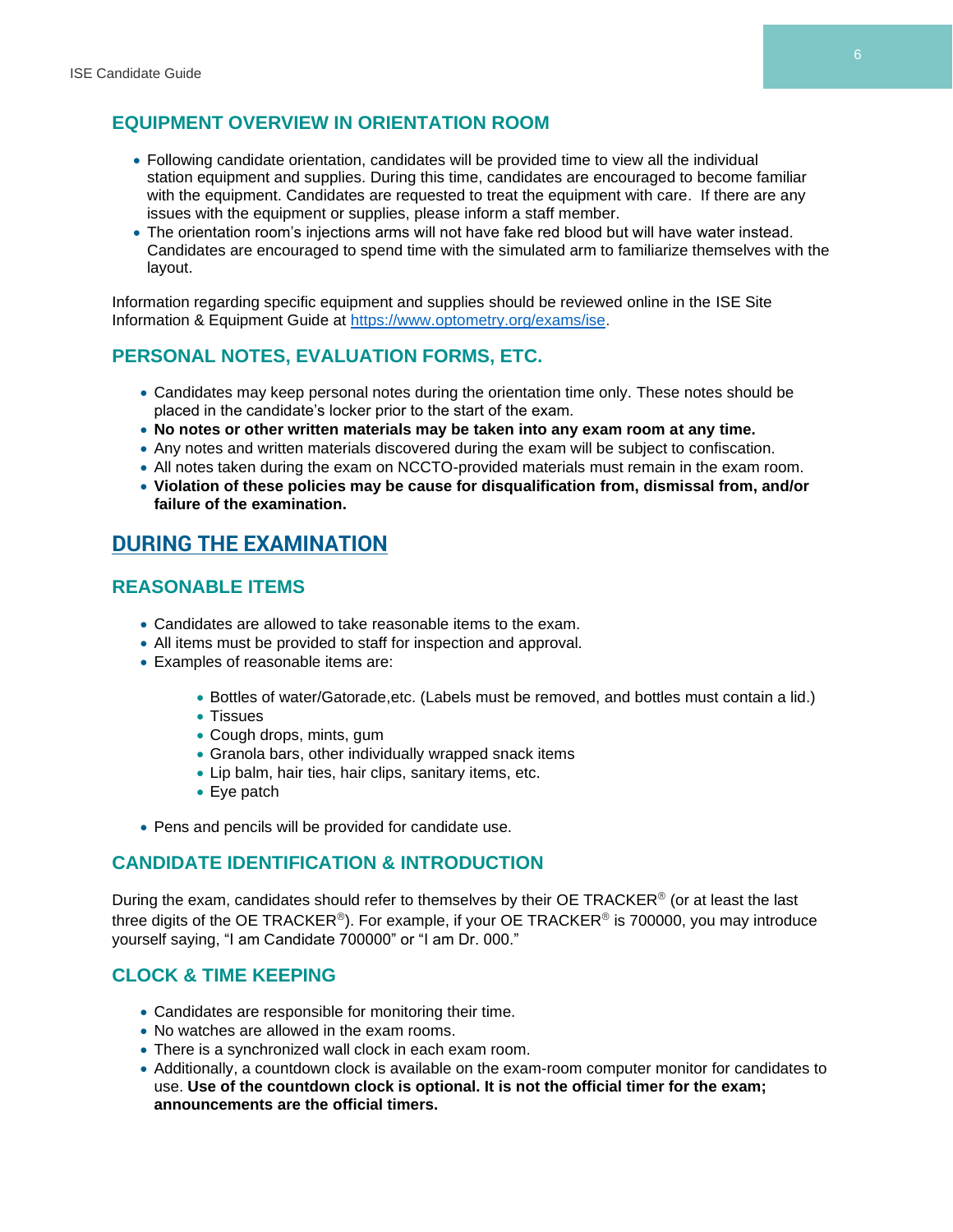#### **EQUIPMENT OVERVIEW IN ORIENTATION ROOM**

- Following candidate orientation, candidates will be provided time to view all the individual station equipment and supplies. During this time, candidates are encouraged to become familiar with the equipment. Candidates are requested to treat the equipment with care. If there are any issues with the equipment or supplies, please inform a staff member.
- The orientation room's injections arms will not have fake red blood but will have water instead. Candidates are encouraged to spend time with the simulated arm to familiarize themselves with the layout.

Information regarding specific equipment and supplies should be reviewed online in the ISE Site Information & Equipment Guide at [https://www.optometry.org/exams/ise.](https://www.optometry.org/exams/ise)

#### **PERSONAL NOTES, EVALUATION FORMS, ETC.**

- Candidates may keep personal notes during the orientation time only. These notes should be placed in the candidate's locker prior to the start of the exam.
- **No notes or other written materials may be taken into any exam room at any time.**
- Any notes and written materials discovered during the exam will be subject to confiscation.
- All notes taken during the exam on NCCTO-provided materials must remain in the exam room.
- **Violation of these policies may be cause for disqualification from, dismissal from, and/or failure of the examination.**

# **DURING THE EXAMINATION**

#### **REASONABLE ITEMS**

- Candidates are allowed to take reasonable items to the exam.
- All items must be provided to staff for inspection and approval.
- Examples of reasonable items are:
	- Bottles of water/Gatorade,etc. (Labels must be removed, and bottles must contain a lid.)
	- Tissues
	- Cough drops, mints, gum
	- Granola bars, other individually wrapped snack items
	- Lip balm, hair ties, hair clips, sanitary items, etc.
	- Eye patch
- Pens and pencils will be provided for candidate use.

#### **CANDIDATE IDENTIFICATION & INTRODUCTION**

During the exam, candidates should refer to themselves by their OE TRACKER® (or at least the last three digits of the OE TRACKER®). For example, if your OE TRACKER® is 700000, you may introduce yourself saying, "I am Candidate 700000" or "I am Dr. 000."

#### **CLOCK & TIME KEEPING**

- Candidates are responsible for monitoring their time.
- No watches are allowed in the exam rooms.
- There is a synchronized wall clock in each exam room.
- Additionally, a countdown clock is available on the exam-room computer monitor for candidates to use. **Use of the countdown clock is optional. It is not the official timer for the exam; announcements are the official timers.**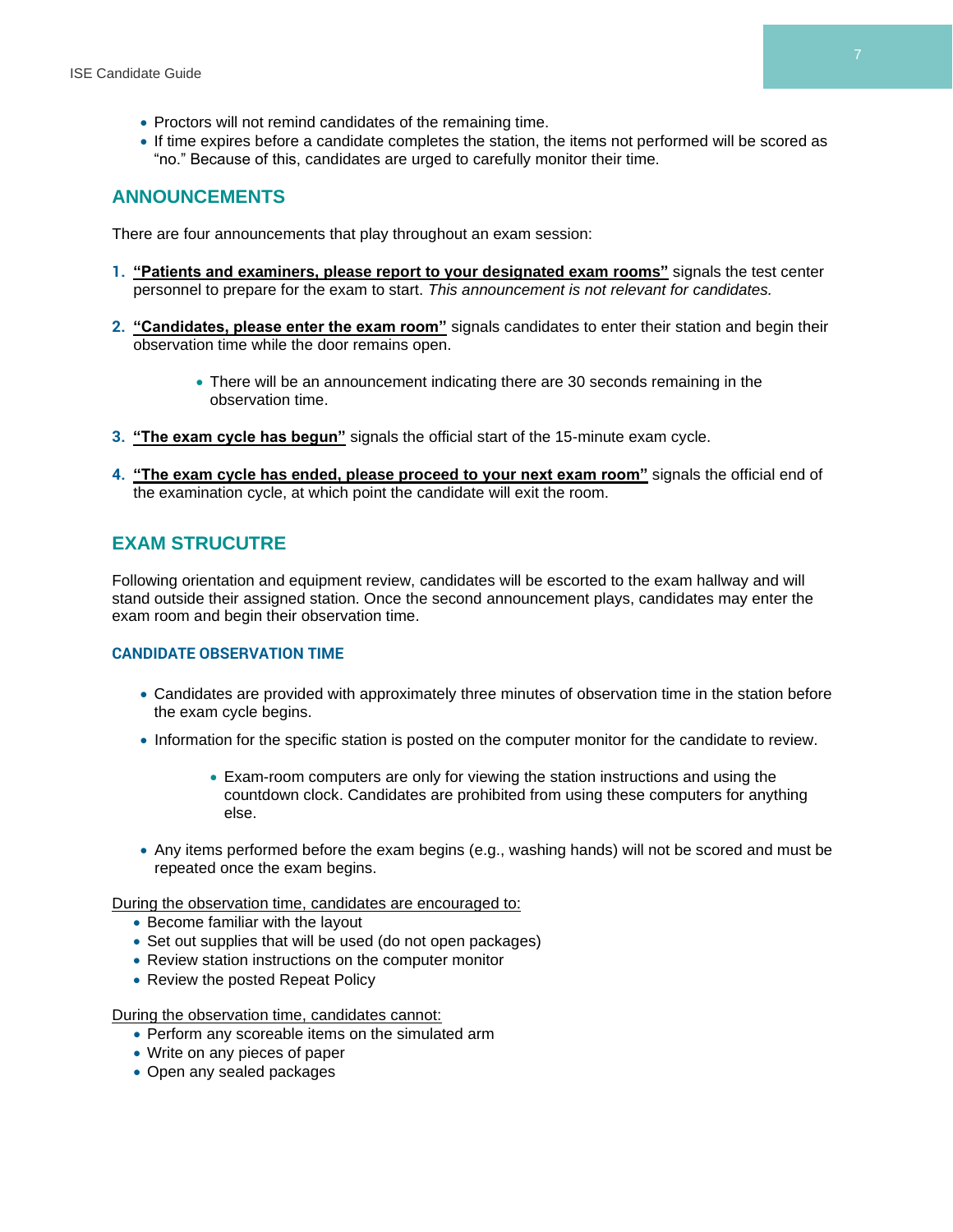- Proctors will not remind candidates of the remaining time.
- If time expires before a candidate completes the station, the items not performed will be scored as "no." Because of this, candidates are urged to carefully monitor their time.

#### **ANNOUNCEMENTS**

There are four announcements that play throughout an exam session:

- **1. "Patients and examiners, please report to your designated exam rooms"** signals the test center personnel to prepare for the exam to start. *This announcement is not relevant for candidates.*
- **2. "Candidates, please enter the exam room"** signals candidates to enter their station and begin their observation time while the door remains open.
	- There will be an announcement indicating there are 30 seconds remaining in the observation time.
- **3. "The exam cycle has begun"** signals the official start of the 15-minute exam cycle.
- **4. "The exam cycle has ended, please proceed to your next exam room"** signals the official end of the examination cycle, at which point the candidate will exit the room.

#### **EXAM STRUCUTRE**

Following orientation and equipment review, candidates will be escorted to the exam hallway and will stand outside their assigned station. Once the second announcement plays, candidates may enter the exam room and begin their observation time.

#### **CANDIDATE OBSERVATION TIME**

- Candidates are provided with approximately three minutes of observation time in the station before the exam cycle begins.
- Information for the specific station is posted on the computer monitor for the candidate to review.
	- Exam-room computers are only for viewing the station instructions and using the countdown clock. Candidates are prohibited from using these computers for anything else.
- Any items performed before the exam begins (e.g., washing hands) will not be scored and must be repeated once the exam begins.

During the observation time, candidates are encouraged to:

- Become familiar with the layout
- Set out supplies that will be used (do not open packages)
- Review station instructions on the computer monitor
- Review the posted Repeat Policy

During the observation time, candidates cannot:

- Perform any scoreable items on the simulated arm
- Write on any pieces of paper
- Open any sealed packages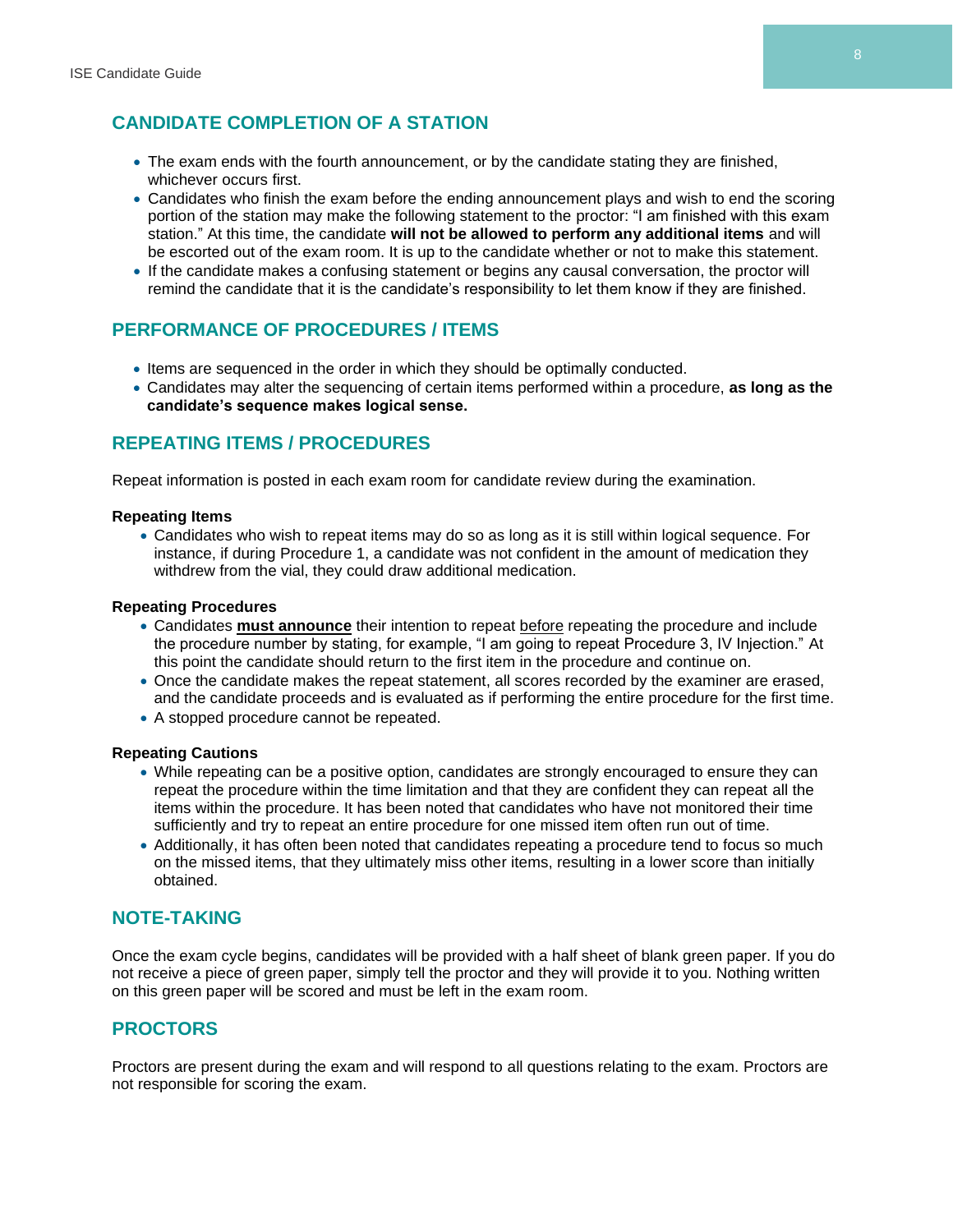# **CANDIDATE COMPLETION OF A STATION**

- The exam ends with the fourth announcement, or by the candidate stating they are finished, whichever occurs first.
- Candidates who finish the exam before the ending announcement plays and wish to end the scoring portion of the station may make the following statement to the proctor: "I am finished with this exam station." At this time, the candidate **will not be allowed to perform any additional items** and will be escorted out of the exam room. It is up to the candidate whether or not to make this statement.
- If the candidate makes a confusing statement or begins any causal conversation, the proctor will remind the candidate that it is the candidate's responsibility to let them know if they are finished.

#### **PERFORMANCE OF PROCEDURES / ITEMS**

- Items are sequenced in the order in which they should be optimally conducted.
- Candidates may alter the sequencing of certain items performed within a procedure, **as long as the candidate's sequence makes logical sense.**

#### **REPEATING ITEMS / PROCEDURES**

Repeat information is posted in each exam room for candidate review during the examination.

#### **Repeating Items**

• Candidates who wish to repeat items may do so as long as it is still within logical sequence. For instance, if during Procedure 1, a candidate was not confident in the amount of medication they withdrew from the vial, they could draw additional medication.

#### **Repeating Procedures**

- Candidates **must announce** their intention to repeat before repeating the procedure and include the procedure number by stating, for example, "I am going to repeat Procedure 3, IV Injection." At this point the candidate should return to the first item in the procedure and continue on.
- Once the candidate makes the repeat statement, all scores recorded by the examiner are erased, and the candidate proceeds and is evaluated as if performing the entire procedure for the first time.
- A stopped procedure cannot be repeated.

#### **Repeating Cautions**

- While repeating can be a positive option, candidates are strongly encouraged to ensure they can repeat the procedure within the time limitation and that they are confident they can repeat all the items within the procedure. It has been noted that candidates who have not monitored their time sufficiently and try to repeat an entire procedure for one missed item often run out of time.
- Additionally, it has often been noted that candidates repeating a procedure tend to focus so much on the missed items, that they ultimately miss other items, resulting in a lower score than initially obtained.

#### **NOTE-TAKING**

Once the exam cycle begins, candidates will be provided with a half sheet of blank green paper. If you do not receive a piece of green paper, simply tell the proctor and they will provide it to you. Nothing written on this green paper will be scored and must be left in the exam room.

#### **PROCTORS**

Proctors are present during the exam and will respond to all questions relating to the exam. Proctors are not responsible for scoring the exam.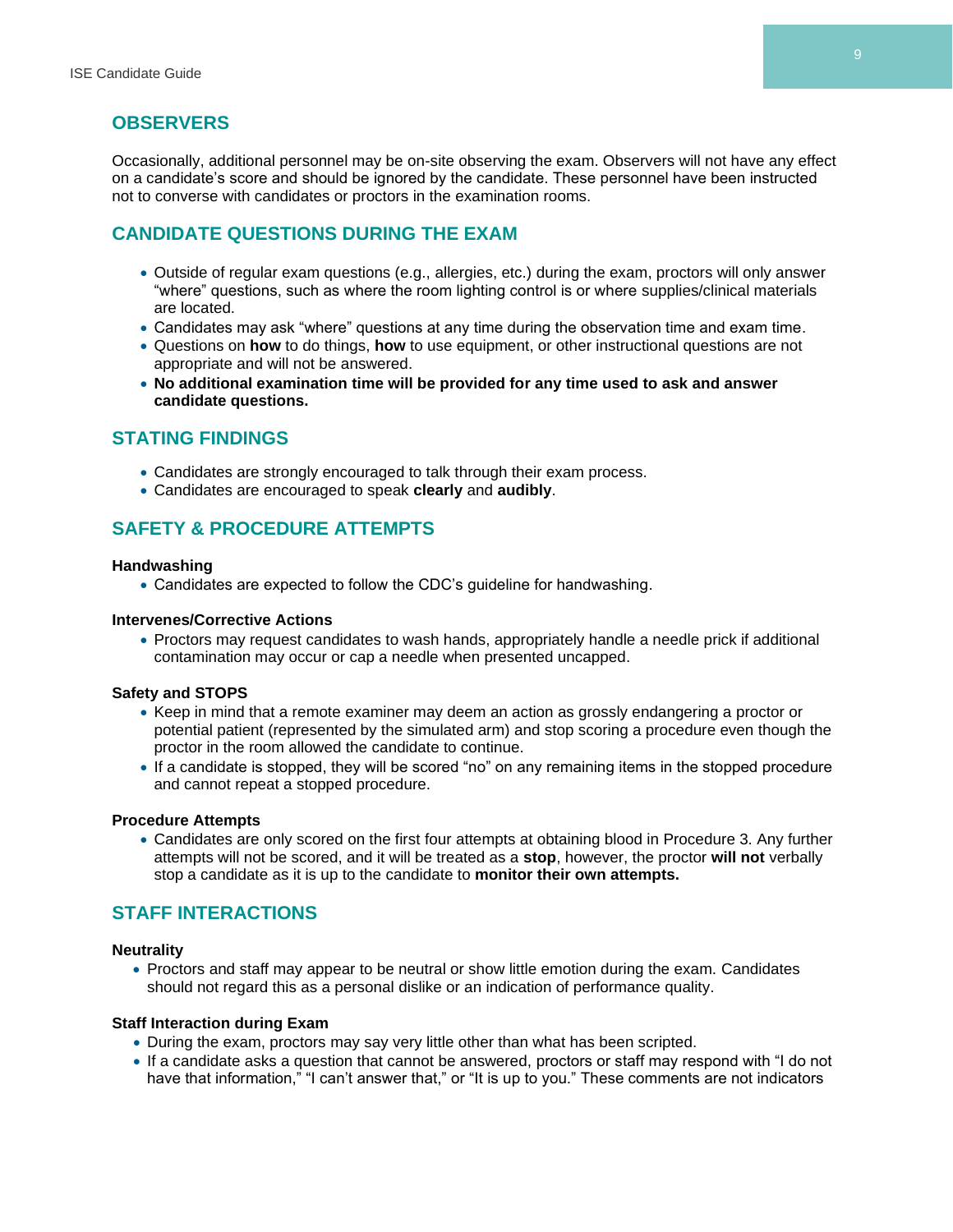#### **OBSERVERS**

Occasionally, additional personnel may be on-site observing the exam. Observers will not have any effect on a candidate's score and should be ignored by the candidate. These personnel have been instructed not to converse with candidates or proctors in the examination rooms.

#### **CANDIDATE QUESTIONS DURING THE EXAM**

- Outside of regular exam questions (e.g., allergies, etc.) during the exam, proctors will only answer "where" questions, such as where the room lighting control is or where supplies/clinical materials are located.
- Candidates may ask "where" questions at any time during the observation time and exam time.
- Questions on **how** to do things, **how** to use equipment, or other instructional questions are not appropriate and will not be answered.
- **No additional examination time will be provided for any time used to ask and answer candidate questions.**

#### **STATING FINDINGS**

- Candidates are strongly encouraged to talk through their exam process.
- Candidates are encouraged to speak **clearly** and **audibly**.

#### **SAFETY & PROCEDURE ATTEMPTS**

#### **Handwashing**

• Candidates are expected to follow the CDC's guideline for handwashing.

#### **Intervenes/Corrective Actions**

• Proctors may request candidates to wash hands, appropriately handle a needle prick if additional contamination may occur or cap a needle when presented uncapped.

#### **Safety and STOPS**

- Keep in mind that a remote examiner may deem an action as grossly endangering a proctor or potential patient (represented by the simulated arm) and stop scoring a procedure even though the proctor in the room allowed the candidate to continue.
- If a candidate is stopped, they will be scored "no" on any remaining items in the stopped procedure and cannot repeat a stopped procedure.

#### **Procedure Attempts**

• Candidates are only scored on the first four attempts at obtaining blood in Procedure 3. Any further attempts will not be scored, and it will be treated as a **stop**, however, the proctor **will not** verbally stop a candidate as it is up to the candidate to **monitor their own attempts.**

#### **STAFF INTERACTIONS**

#### **Neutrality**

• Proctors and staff may appear to be neutral or show little emotion during the exam. Candidates should not regard this as a personal dislike or an indication of performance quality.

#### **Staff Interaction during Exam**

- During the exam, proctors may say very little other than what has been scripted.
- If a candidate asks a question that cannot be answered, proctors or staff may respond with "I do not have that information," "I can't answer that," or "It is up to you." These comments are not indicators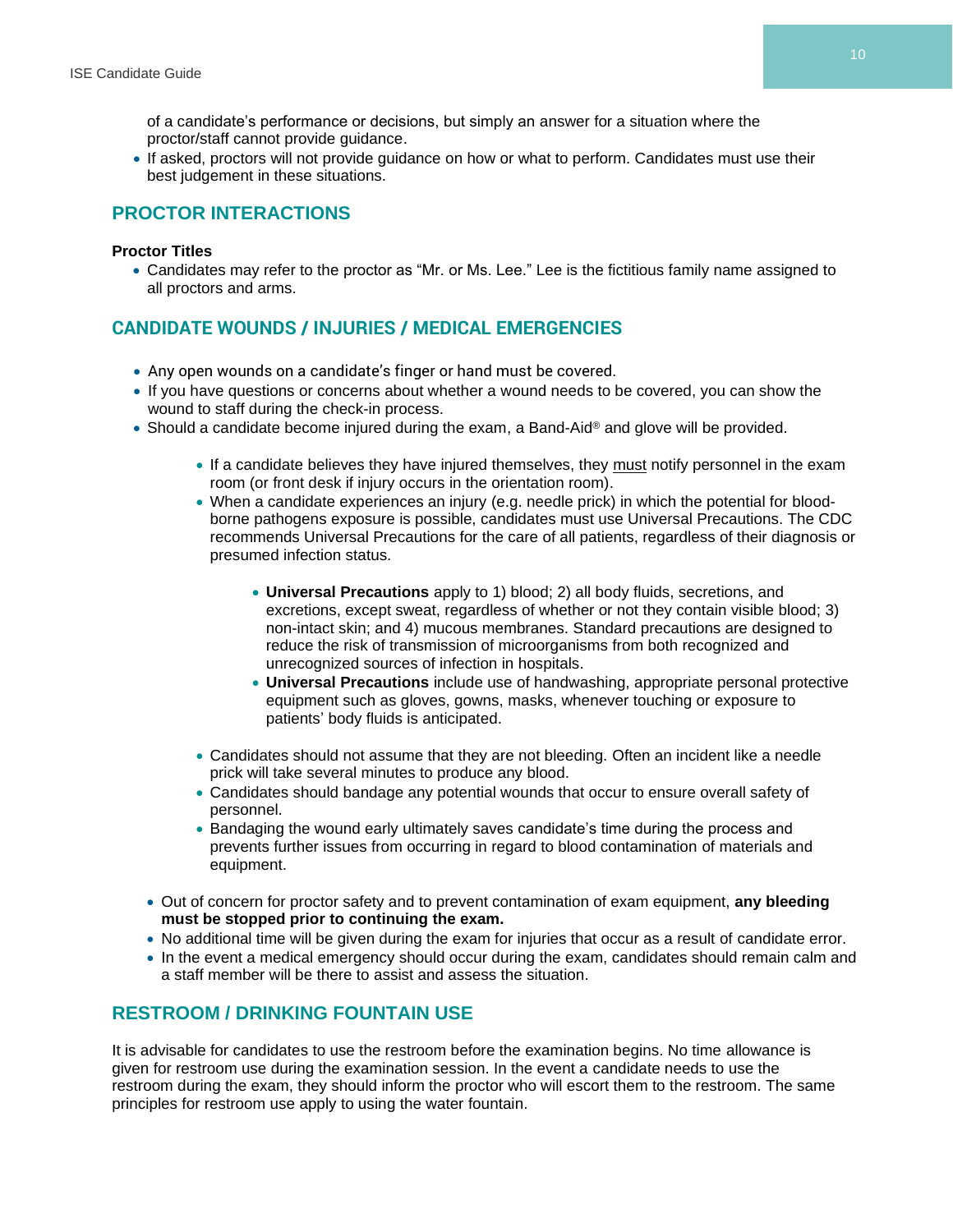of a candidate's performance or decisions, but simply an answer for a situation where the proctor/staff cannot provide guidance.

• If asked, proctors will not provide guidance on how or what to perform. Candidates must use their best judgement in these situations.

#### **PROCTOR INTERACTIONS**

#### **Proctor Titles**

• Candidates may refer to the proctor as "Mr. or Ms. Lee." Lee is the fictitious family name assigned to all proctors and arms.

#### **CANDIDATE WOUNDS / INJURIES / MEDICAL EMERGENCIES**

- Any open wounds on a candidate's finger or hand must be covered.
- If you have questions or concerns about whether a wound needs to be covered, you can show the wound to staff during the check-in process.
- Should a candidate become injured during the exam, a Band-Aid® and glove will be provided.
	- If a candidate believes they have injured themselves, they must notify personnel in the exam room (or front desk if injury occurs in the orientation room).
	- When a candidate experiences an injury (e.g. needle prick) in which the potential for bloodborne pathogens exposure is possible, candidates must use Universal Precautions. The CDC recommends Universal Precautions for the care of all patients, regardless of their diagnosis or presumed infection status.
		- **Universal Precautions** apply to 1) blood; 2) all body fluids, secretions, and excretions, except sweat, regardless of whether or not they contain visible blood; 3) non-intact skin; and 4) mucous membranes. Standard precautions are designed to reduce the risk of transmission of microorganisms from both recognized and unrecognized sources of infection in hospitals.
		- **Universal Precautions** include use of handwashing, appropriate personal protective equipment such as gloves, gowns, masks, whenever touching or exposure to patients' body fluids is anticipated.
	- Candidates should not assume that they are not bleeding. Often an incident like a needle prick will take several minutes to produce any blood.
	- Candidates should bandage any potential wounds that occur to ensure overall safety of personnel.
	- Bandaging the wound early ultimately saves candidate's time during the process and prevents further issues from occurring in regard to blood contamination of materials and equipment.
	- Out of concern for proctor safety and to prevent contamination of exam equipment, **any bleeding must be stopped prior to continuing the exam.**
	- No additional time will be given during the exam for injuries that occur as a result of candidate error.
	- In the event a medical emergency should occur during the exam, candidates should remain calm and a staff member will be there to assist and assess the situation.

#### **RESTROOM / DRINKING FOUNTAIN USE**

It is advisable for candidates to use the restroom before the examination begins. No time allowance is given for restroom use during the examination session. In the event a candidate needs to use the restroom during the exam, they should inform the proctor who will escort them to the restroom. The same principles for restroom use apply to using the water fountain.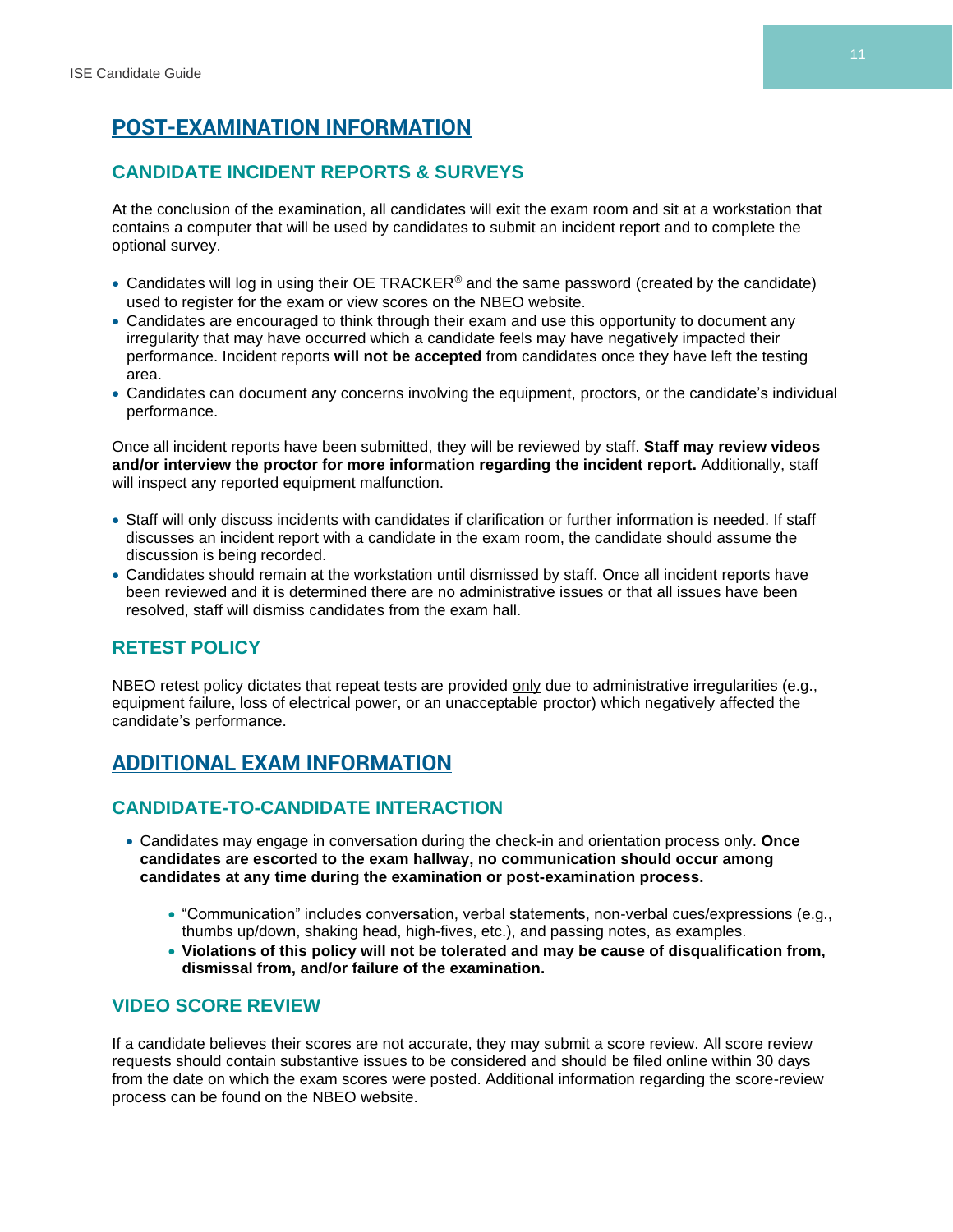# **POST-EXAMINATION INFORMATION**

### **CANDIDATE INCIDENT REPORTS & SURVEYS**

At the conclusion of the examination, all candidates will exit the exam room and sit at a workstation that contains a computer that will be used by candidates to submit an incident report and to complete the optional survey.

- Candidates will log in using their OE TRACKER® and the same password (created by the candidate) used to register for the exam or view scores on the NBEO website.
- Candidates are encouraged to think through their exam and use this opportunity to document any irregularity that may have occurred which a candidate feels may have negatively impacted their performance. Incident reports **will not be accepted** from candidates once they have left the testing area.
- Candidates can document any concerns involving the equipment, proctors, or the candidate's individual performance.

Once all incident reports have been submitted, they will be reviewed by staff. **Staff may review videos and/or interview the proctor for more information regarding the incident report.** Additionally, staff will inspect any reported equipment malfunction.

- Staff will only discuss incidents with candidates if clarification or further information is needed. If staff discusses an incident report with a candidate in the exam room, the candidate should assume the discussion is being recorded.
- Candidates should remain at the workstation until dismissed by staff. Once all incident reports have been reviewed and it is determined there are no administrative issues or that all issues have been resolved, staff will dismiss candidates from the exam hall.

# **RETEST POLICY**

NBEO retest policy dictates that repeat tests are provided only due to administrative irregularities (e.g., equipment failure, loss of electrical power, or an unacceptable proctor) which negatively affected the candidate's performance.

# **ADDITIONAL EXAM INFORMATION**

#### **CANDIDATE-TO-CANDIDATE INTERACTION**

- Candidates may engage in conversation during the check-in and orientation process only. **Once candidates are escorted to the exam hallway, no communication should occur among candidates at any time during the examination or post-examination process.**
	- "Communication" includes conversation, verbal statements, non-verbal cues/expressions (e.g., thumbs up/down, shaking head, high-fives, etc.), and passing notes, as examples.
	- **Violations of this policy will not be tolerated and may be cause of disqualification from, dismissal from, and/or failure of the examination.**

#### **VIDEO SCORE REVIEW**

If a candidate believes their scores are not accurate, they may submit a score review. All score review requests should contain substantive issues to be considered and should be filed online within 30 days from the date on which the exam scores were posted. Additional information regarding the score-review process can be found on the NBEO website.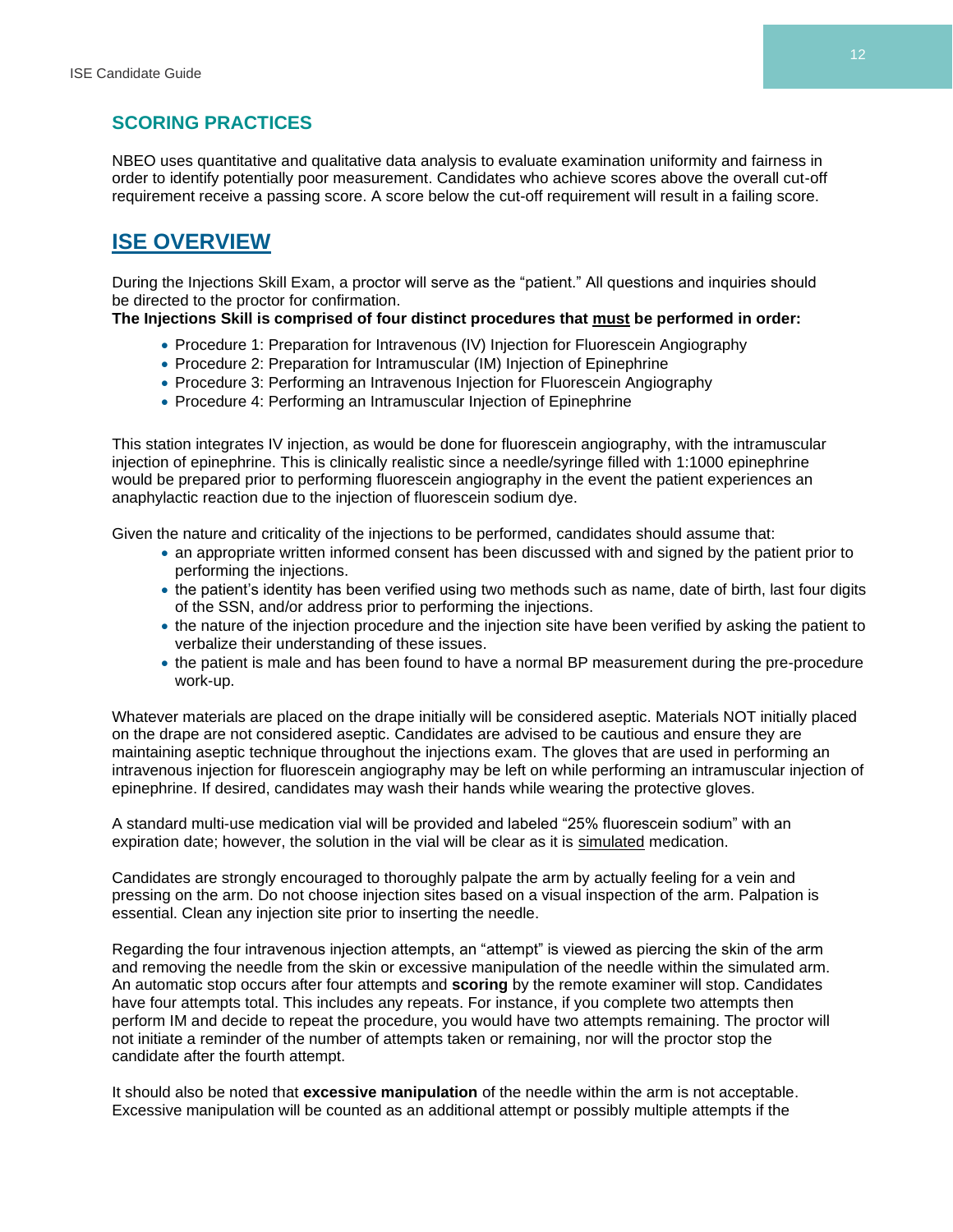#### **SCORING PRACTICES**

NBEO uses quantitative and qualitative data analysis to evaluate examination uniformity and fairness in order to identify potentially poor measurement. Candidates who achieve scores above the overall cut-off requirement receive a passing score. A score below the cut-off requirement will result in a failing score.

# **ISE OVERVIEW**

During the Injections Skill Exam, a proctor will serve as the "patient." All questions and inquiries should be directed to the proctor for confirmation.

#### **The Injections Skill is comprised of four distinct procedures that must be performed in order:**

- Procedure 1: Preparation for Intravenous (IV) Injection for Fluorescein Angiography
- Procedure 2: Preparation for Intramuscular (IM) Injection of Epinephrine
- Procedure 3: Performing an Intravenous Injection for Fluorescein Angiography
- Procedure 4: Performing an Intramuscular Injection of Epinephrine

This station integrates IV injection, as would be done for fluorescein angiography, with the intramuscular injection of epinephrine. This is clinically realistic since a needle/syringe filled with 1:1000 epinephrine would be prepared prior to performing fluorescein angiography in the event the patient experiences an anaphylactic reaction due to the injection of fluorescein sodium dye.

Given the nature and criticality of the injections to be performed, candidates should assume that:

- an appropriate written informed consent has been discussed with and signed by the patient prior to performing the injections.
- the patient's identity has been verified using two methods such as name, date of birth, last four digits of the SSN, and/or address prior to performing the injections.
- the nature of the injection procedure and the injection site have been verified by asking the patient to verbalize their understanding of these issues.
- the patient is male and has been found to have a normal BP measurement during the pre-procedure work-up.

Whatever materials are placed on the drape initially will be considered aseptic. Materials NOT initially placed on the drape are not considered aseptic. Candidates are advised to be cautious and ensure they are maintaining aseptic technique throughout the injections exam. The gloves that are used in performing an intravenous injection for fluorescein angiography may be left on while performing an intramuscular injection of epinephrine. If desired, candidates may wash their hands while wearing the protective gloves.

A standard multi-use medication vial will be provided and labeled "25% fluorescein sodium" with an expiration date; however, the solution in the vial will be clear as it is simulated medication.

Candidates are strongly encouraged to thoroughly palpate the arm by actually feeling for a vein and pressing on the arm. Do not choose injection sites based on a visual inspection of the arm. Palpation is essential. Clean any injection site prior to inserting the needle.

Regarding the four intravenous injection attempts, an "attempt" is viewed as piercing the skin of the arm and removing the needle from the skin or excessive manipulation of the needle within the simulated arm. An automatic stop occurs after four attempts and **scoring** by the remote examiner will stop. Candidates have four attempts total. This includes any repeats. For instance, if you complete two attempts then perform IM and decide to repeat the procedure, you would have two attempts remaining. The proctor will not initiate a reminder of the number of attempts taken or remaining, nor will the proctor stop the candidate after the fourth attempt.

It should also be noted that **excessive manipulation** of the needle within the arm is not acceptable. Excessive manipulation will be counted as an additional attempt or possibly multiple attempts if the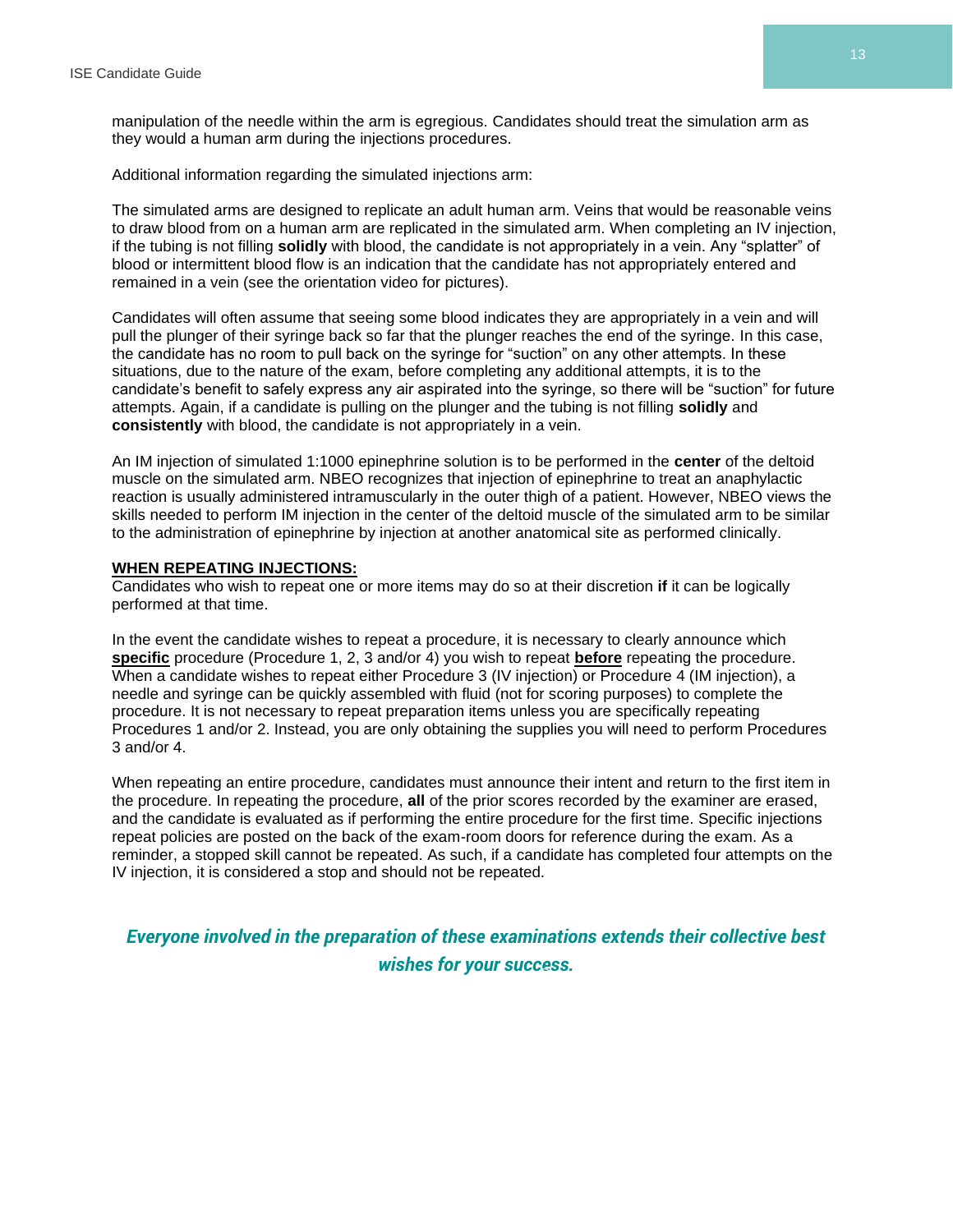manipulation of the needle within the arm is egregious. Candidates should treat the simulation arm as they would a human arm during the injections procedures.

Additional information regarding the simulated injections arm:

The simulated arms are designed to replicate an adult human arm. Veins that would be reasonable veins to draw blood from on a human arm are replicated in the simulated arm. When completing an IV injection, if the tubing is not filling **solidly** with blood, the candidate is not appropriately in a vein. Any "splatter" of blood or intermittent blood flow is an indication that the candidate has not appropriately entered and remained in a vein (see the orientation video for pictures).

Candidates will often assume that seeing some blood indicates they are appropriately in a vein and will pull the plunger of their syringe back so far that the plunger reaches the end of the syringe. In this case, the candidate has no room to pull back on the syringe for "suction" on any other attempts. In these situations, due to the nature of the exam, before completing any additional attempts, it is to the candidate's benefit to safely express any air aspirated into the syringe, so there will be "suction" for future attempts. Again, if a candidate is pulling on the plunger and the tubing is not filling **solidly** and **consistently** with blood, the candidate is not appropriately in a vein.

An IM injection of simulated 1:1000 epinephrine solution is to be performed in the **center** of the deltoid muscle on the simulated arm. NBEO recognizes that injection of epinephrine to treat an anaphylactic reaction is usually administered intramuscularly in the outer thigh of a patient. However, NBEO views the skills needed to perform IM injection in the center of the deltoid muscle of the simulated arm to be similar to the administration of epinephrine by injection at another anatomical site as performed clinically.

#### **WHEN REPEATING INJECTIONS:**

Candidates who wish to repeat one or more items may do so at their discretion **if** it can be logically performed at that time.

In the event the candidate wishes to repeat a procedure, it is necessary to clearly announce which **specific** procedure (Procedure 1, 2, 3 and/or 4) you wish to repeat **before** repeating the procedure. When a candidate wishes to repeat either Procedure 3 (IV injection) or Procedure 4 (IM injection), a needle and syringe can be quickly assembled with fluid (not for scoring purposes) to complete the procedure. It is not necessary to repeat preparation items unless you are specifically repeating Procedures 1 and/or 2. Instead, you are only obtaining the supplies you will need to perform Procedures 3 and/or 4.

When repeating an entire procedure, candidates must announce their intent and return to the first item in the procedure. In repeating the procedure, **all** of the prior scores recorded by the examiner are erased, and the candidate is evaluated as if performing the entire procedure for the first time. Specific injections repeat policies are posted on the back of the exam-room doors for reference during the exam. As a reminder, a stopped skill cannot be repeated. As such, if a candidate has completed four attempts on the IV injection, it is considered a stop and should not be repeated.

*Everyone involved in the preparation of these examinations extends their collective best wishes for your success.* **®**